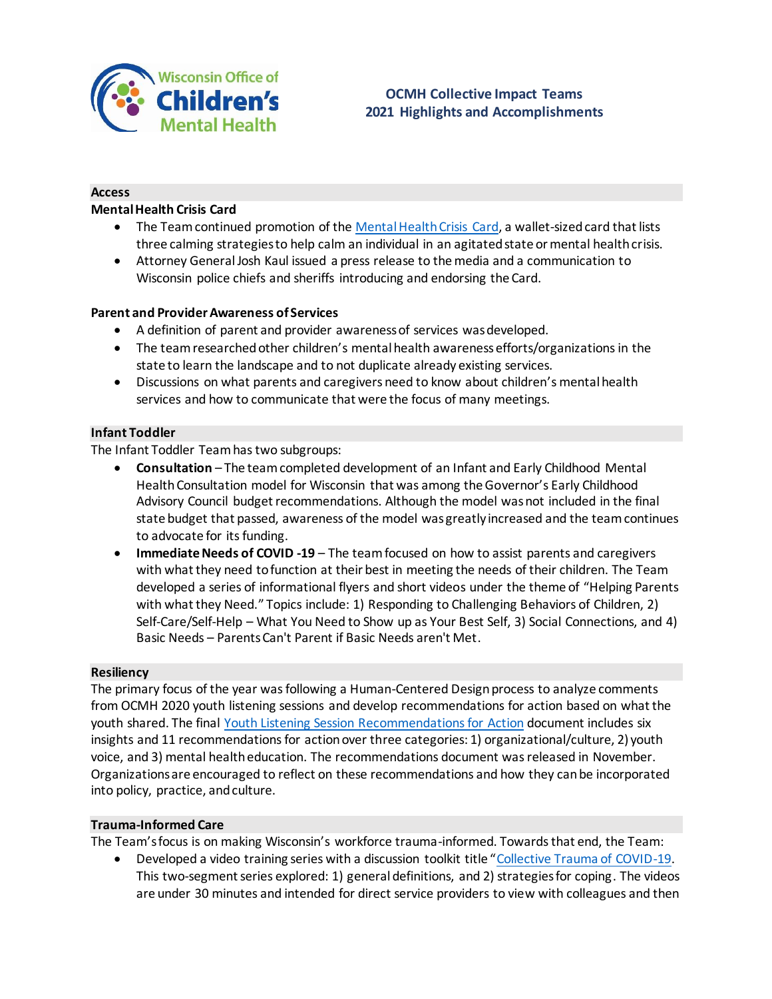

### **Access**

## **Mental Health Crisis Card**

- The Team continued promotion of th[e Mental Health Crisis Card,](https://children.wi.gov/Pages/CollectiveImpactTeams/YouthMentalHealthCrisisPlanCard.aspx) a wallet-sized card that lists three calming strategies to help calm an individual in an agitated state or mental health crisis.
- Attorney GeneralJosh Kaul issued a press release to the media and a communication to Wisconsin police chiefs and sheriffs introducing and endorsing the Card.

### **Parent and Provider Awareness of Services**

- A definition of parent and provider awareness of services was developed.
- The team researched other children's mental health awareness efforts/organizations in the state to learn the landscape and to not duplicate already existing services.
- Discussions on what parents and caregivers need to know about children's mental health services and how to communicate that were the focus of many meetings.

# **Infant Toddler**

The Infant Toddler Team has two subgroups:

- **Consultation** The team completed development of an Infant and Early Childhood Mental Health Consultation model for Wisconsin that was among the Governor's Early Childhood Advisory Council budget recommendations. Although the model was not included in the final state budget that passed, awareness of the model was greatly increased and the team continues to advocate for its funding.
- **Immediate Needs of COVID -19** The team focused on how to assist parents and caregivers with what they need to function at their best in meeting the needs of their children. The Team developed a series of informational flyers and short videos under the theme of "Helping Parents with what they Need." Topics include: 1) Responding to Challenging Behaviors of Children, 2) Self-Care/Self-Help – What You Need to Show up as Your Best Self, 3) Social Connections, and 4) Basic Needs – Parents Can't Parent if Basic Needs aren't Met.

### **Resiliency**

The primary focus of the year was following a Human-Centered Design process to analyze comments from OCMH 2020 youth listening sessions and develop recommendations for action based on what the youth shared. The final [Youth Listening Session Recommendations for Action](https://children.wi.gov/Documents/Recommendations%20for%20Action%20Final.pdf) document includes six insights and 11 recommendations for action over three categories: 1) organizational/culture, 2) youth voice, and 3) mental health education. The recommendations document was released in November. Organizations are encouraged to reflect on these recommendations and how they can be incorporated into policy, practice, and culture.

#### **Trauma-Informed Care**

The Team's focus is on making Wisconsin's workforce trauma-informed. Towards that end, the Team:

 Developed a video training series with a discussion toolkit title "[Collective Trauma of COVID-19.](https://children.wi.gov/Pages/CollectiveImpactTeams/TICWorkshops.aspx) This two-segment series explored: 1) general definitions, and 2) strategies for coping. The videos are under 30 minutes and intended for direct service providers to view with colleagues and then